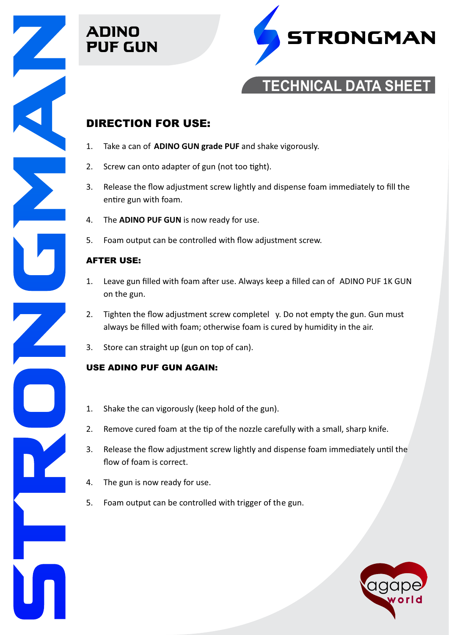





# **TECHNICAL DATA SHEET**

### DIRECTION FOR USE:

- 1. Take a can of **ADINO GUN grade PUF** and shake vigorously.
- 2. Screw can onto adapter of gun (not too tight).
- 3. Release the flow adjustment screw lightly and dispense foam immediately to fill the entire gun with foam.
- 4. The **ADINO PUF GUN** is now ready for use.
- 5. Foam output can be controlled with flow adjustment screw.

#### AFTER USE:

- 1. Leave gun filled with foam after use. Always keep a filled can of ADINO PUF 1K GUN on the gun.
- 2. Tighten the flow adjustment screw completel y. Do not empty the gun. Gun must always be filled with foam; otherwise foam is cured by humidity in the air.
- 3. Store can straight up (gun on top of can).

#### USE ADINO PUF GUN AGAIN:

- 1. Shake the can vigorously (keep hold of the gun).
- 2. Remove cured foam at the tip of the nozzle carefully with a small, sharp knife.
- 3. Release the flow adjustment screw lightly and dispense foam immediately until the flow of foam is correct.
- 4. The gun is now ready for use.
- 5. Foam output can be controlled with trigger of the gun.